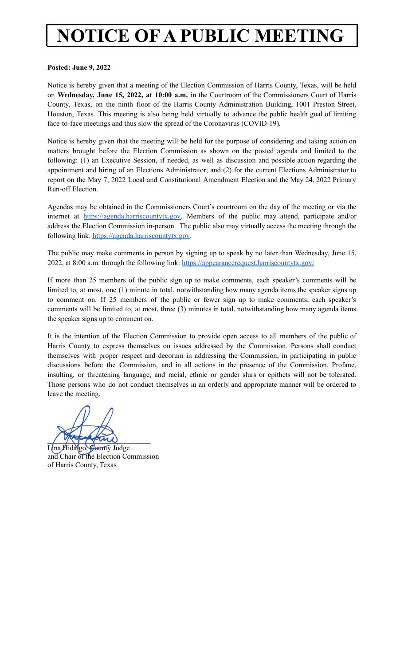# **NOTICE OF A PUBLIC MEETING**

#### **Posted: June 9, 2022**

Notice is hereby given that a meeting of the Election Commission of Harris County, Texas, will be held on **Wednesday, June 15, 2022, at 10:00 a.m.** in the Courtroom of the Commissioners Court of Harris County, Texas, on the ninth floor of the Harris County Administration Building, 1001 Preston Street, Houston, Texas. This meeting is also being held virtually to advance the public health goal of limiting face-to-face meetings and thus slow the spread of the Coronavirus (COVID-19).

Notice is hereby given that the meeting will be held for the purpose of considering and taking action on matters brought before the Election Commission as shown on the posted agenda and limited to the following: (1) an Executive Session, if needed, as well as discussion and possible action regarding the appointment and hiring of an Elections Administrator; and (2) for the current Elections Administrator to report on the May 7, 2022 Local and Constitutional Amendment Election and the May 24, 2022 Primary Run-off Election.

Agendas may be obtained in the Commissioners Court's courtroom on the day of the meeting or via the internet at [https://agenda.harriscountytx.gov.](https://agenda.harriscountytx.gov) Members of the public may attend, participate and/or address the Election Commission in-person. The public also may virtually access the meeting through the following link: [https://agenda.harriscountytx.gov.](https://agenda.harriscountytx.gov)

The public may make comments in person by signing up to speak by no later than Wednesday, June 15, 2022, at 8:00 a.m. through the following link: <https://appearancerequest.harriscountytx.gov/>

If more than 25 members of the public sign up to make comments, each speaker's comments will be limited to, at most, one (1) minute in total, notwithstanding how many agenda items the speaker signs up to comment on. If 25 members of the public or fewer sign up to make comments, each speaker's comments will be limited to, at most, three (3) minutes in total, notwithstanding how many agenda items the speaker signs up to comment on.

It is the intention of the Election Commission to provide open access to all members of the public of Harris County to express themselves on issues addressed by the Commission. Persons shall conduct themselves with proper respect and decorum in addressing the Commission, in participating in public discussions before the Commission, and in all actions in the presence of the Commission. Profane, insulting, or threatening language, and racial, ethnic or gender slurs or epithets will not be tolerated. Those persons who do not conduct themselves in an orderly and appropriate manner will be ordered to leave the meeting.

 $\frac{1}{\sqrt{2}}$ 

Lina Hidalgo, County Judge and Chair of the Election Commission of Harris County, Texas